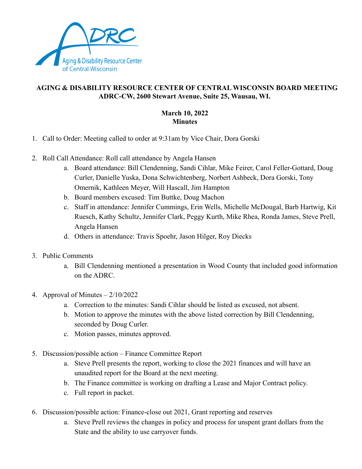

## **AGING & DISABILITY RESOURCE CENTER OF CENTRAL WISCONSIN BOARD MEETING ADRC-CW, 2600 Stewart Avenue, Suite 25, Wausau, WI.**

## **March 10, 2022 Minutes**

- 1. Call to Order: Meeting called to order at 9:31am by Vice Chair, Dora Gorski
- 2. Roll Call Attendance: Roll call attendance by Angela Hansen
	- a. Board attendance: Bill Clendenning, Sandi Cihlar, Mike Feirer, Carol Feller-Gottard, Doug Curler, Danielle Yuska, Dona Schwichtenberg, Norbert Ashbeck, Dora Gorski, Tony Omernik, Kathleen Meyer, Will Hascall, Jim Hampton
	- b. Board members excused: Tim Buttke, Doug Machon
	- c. Staff in attendance: Jennifer Cummings, Erin Wells, Michelle McDougal, Barb Hartwig, Kit Ruesch, Kathy Schultz, Jennifer Clark, Peggy Kurth, Mike Rhea, Ronda James, Steve Prell, Angela Hansen
	- d. Others in attendance: Travis Spoehr, Jason Hilger, Roy Diecks
- 3. Public Comments
	- a. Bill Clendenning mentioned a presentation in Wood County that included good information on the ADRC.
- 4. Approval of Minutes  $-2/10/2022$ 
	- a. Correction to the minutes: Sandi Cihlar should be listed as excused, not absent.
	- b. Motion to approve the minutes with the above listed correction by Bill Clendenning, seconded by Doug Curler.
	- c. Motion passes, minutes approved.
- 5. Discussion/possible action Finance Committee Report
	- a. Steve Prell presents the report, working to close the 2021 finances and will have an unaudited report for the Board at the next meeting.
	- b. The Finance committee is working on drafting a Lease and Major Contract policy.
	- c. Full report in packet.
- 6. Discussion/possible action: Finance-close out 2021, Grant reporting and reserves
	- a. Steve Prell reviews the changes in policy and process for unspent grant dollars from the State and the ability to use carryover funds.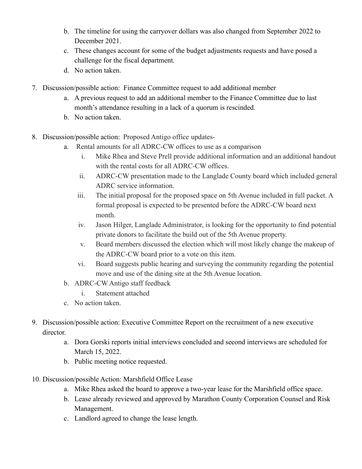- b. The timeline for using the carryover dollars was also changed from September 2022 to December 2021.
- c. These changes account for some of the budget adjustments requests and have posed a challenge for the fiscal department.
- d. No action taken.
- 7. Discussion/possible action: Finance Committee request to add additional member
	- a. A previous request to add an additional member to the Finance Committee due to last month's attendance resulting in a lack of a quorum is rescinded.
	- b. No action taken.
- 8. Discussion/possible action: Proposed Antigo office updates
	- a. Rental amounts for all ADRC-CW offices to use as a comparison
		- i. Mike Rhea and Steve Prell provide additional information and an additional handout with the rental costs for all ADRC-CW offices.
		- ii. ADRC-CW presentation made to the Langlade County board which included general ADRC service information.
		- iii. The initial proposal for the proposed space on 5th Avenue included in full packet. A formal proposal is expected to be presented before the ADRC-CW board next month.
		- iv. Jason Hilger, Langlade Administrator, is looking for the opportunity to find potential private donors to facilitate the build out of the 5th Avenue property.
		- v. Board members discussed the election which will most likely change the makeup of the ADRC-CW board prior to a vote on this item.
		- vi. Board suggests public hearing and surveying the community regarding the potential move and use of the dining site at the 5th Avenue location.
	- b. ADRC-CW Antigo staff feedback
		- i. Statement attached
	- c. No action taken.
- 9. Discussion/possible action: Executive Committee Report on the recruitment of a new executive director.
	- a. Dora Gorski reports initial interviews concluded and second interviews are scheduled for March 15, 2022.
	- b. Public meeting notice requested.
- 10. Discussion/possible Action: Marshfield Office Lease
	- a. Mike Rhea asked the board to approve a two-year lease for the Marshfield office space.
	- b. Lease already reviewed and approved by Marathon County Corporation Counsel and Risk Management.
	- c. Landlord agreed to change the lease length.